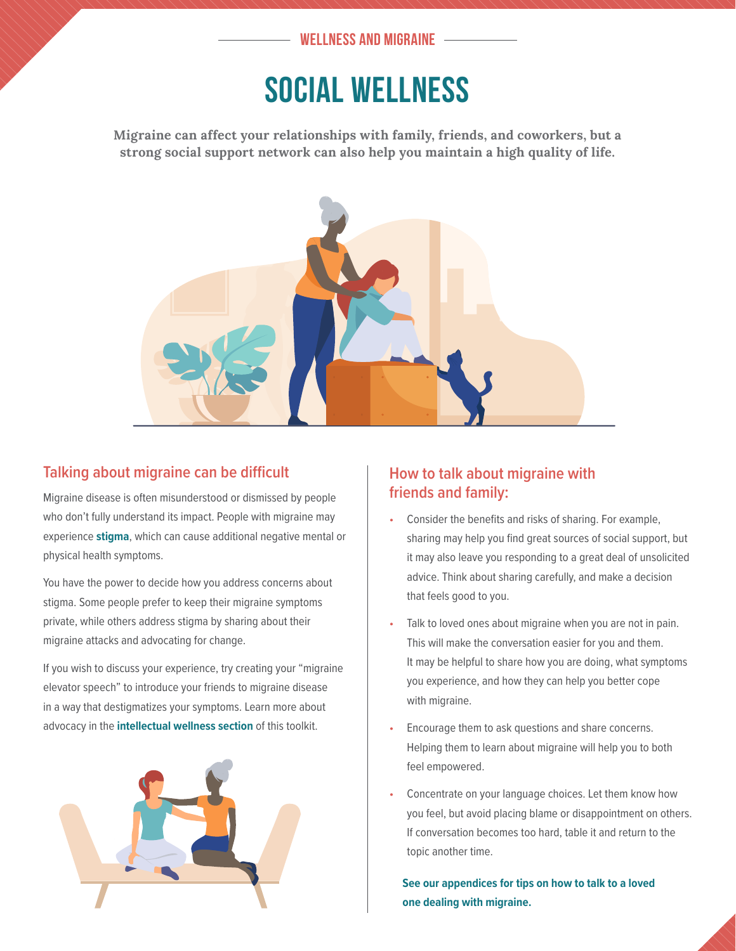### **WELLNESS AND MIGRAINE**

## SOCIAL WELLNESS

**Migraine can affect your relationships with family, friends, and coworkers, but a strong social support network can also help you maintain a high quality of life.**



### **Talking about migraine can be difficult**

Migraine disease is often misunderstood or dismissed by people who don't fully understand its impact. People with migraine may experience **stigma**, which can cause additional negative mental or physical health symptoms.

You have the power to decide how you address concerns about stigma. Some people prefer to keep their migraine symptoms private, while others address stigma by sharing about their migraine attacks and advocating for change.

If you wish to discuss your experience, try creating your "migraine elevator speech" to introduce your friends to migraine disease in a way that destigmatizes your symptoms. Learn more about advocacy in the **intellectual wellness section** of this toolkit.



### **How to talk about migraine with friends and family:**

- Consider the benefits and risks of sharing. For example, sharing may help you find great sources of social support, but it may also leave you responding to a great deal of unsolicited advice. Think about sharing carefully, and make a decision that feels good to you.
- Talk to loved ones about migraine when you are not in pain. This will make the conversation easier for you and them. It may be helpful to share how you are doing, what symptoms you experience, and how they can help you better cope with migraine.
- Encourage them to ask questions and share concerns. Helping them to learn about migraine will help you to both feel empowered.
- Concentrate on your language choices. Let them know how you feel, but avoid placing blame or disappointment on others. If conversation becomes too hard, table it and return to the topic another time.

**See our appendices for tips on how to talk to a loved one dealing with migraine.**